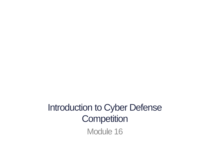Introduction to Cyber Defense **Competition** Module 16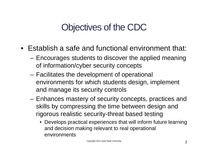### Objectives of the CDC

- Establish a safe and functional environment that:
	- Encourages students to discover the applied meaning of information/cyber security concepts
	- Facilitates the development of operational environments for which students design, implement and manage its security controls
	- Enhances mastery of security concepts, practices and skills by compressing the time between design and rigorous realistic security-threat based testing
		- Develops practical experiences that will inform future learning and decision making relevant to real operational environments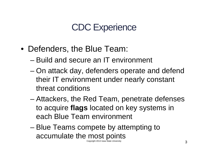#### CDC Experience

- Defenders, the Blue Team:
	- Build and secure an IT environment
	- On attack day, defenders operate and defend their IT environment under nearly constant threat conditions
	- Attackers, the Red Team, penetrate defenses to acquire **flags** located on key systems in each Blue Team environment
	- Blue Teams compete by attempting to accumulate the most points Copyright 2013 Iowa State University  $3$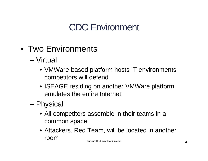## CDC Environment

- Two Environments
	- Virtual
		- VMWare-based platform hosts IT environments competitors will defend
		- ISEAGE residing on another VMWare platform emulates the entire Internet
	- Physical
		- All competitors assemble in their teams in a common space
		- Attackers, Red Team, will be located in another room Copyright 2013 Iowa State University **4**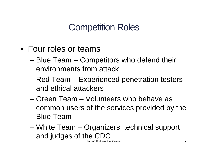### Competition Roles

- Four roles or teams
	- Blue Team Competitors who defend their environments from attack
	- Red Team Experienced penetration testers and ethical attackers
	- Green Team Volunteers who behave as common users of the services provided by the Blue Team
	- White Team Organizers, technical support and judges of the CDC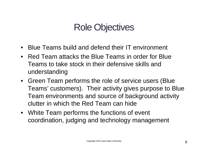## Role Objectives

- Blue Teams build and defend their IT environment
- Red Team attacks the Blue Teams in order for Blue Teams to take stock in their defensive skills and understanding
- Green Team performs the role of service users (Blue Teams' customers). Their activity gives purpose to Blue Team environments and source of background activity clutter in which the Red Team can hide
- White Team performs the functions of event coordination, judging and technology management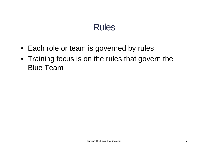### Rules

- Each role or team is governed by rules
- Training focus is on the rules that govern the Blue Team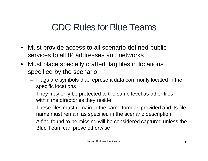- Must provide access to all scenario defined public services to all IP addresses and networks
- Must place specially crafted flag files in locations specified by the scenario
	- Flags are symbols that represent data commonly located in the specific locations
	- They may only be protected to the same level as other files within the directories they reside
	- These files must remain in the same form as provided and its file name must remain as specified in the scenario description
	- A flag found to be missing will be considered captured unless the Blue Team can prove otherwise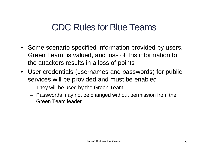- Some scenario specified information provided by users, Green Team, is valued, and loss of this information to the attackers results in a loss of points
- User credentials (usernames and passwords) for public services will be provided and must be enabled
	- They will be used by the Green Team
	- Passwords may not be changed without permission from the Green Team leader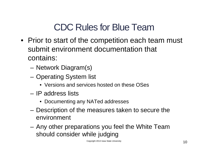- Prior to start of the competition each team must submit environment documentation that contains:
	- Network Diagram(s)
	- Operating System list
		- Versions and services hosted on these OSes
	- IP address lists
		- Documenting any NATed addresses
	- Description of the measures taken to secure the environment
	- Any other preparations you feel the White Team should consider while judging

Copyright 2013 Iowa State University  $10$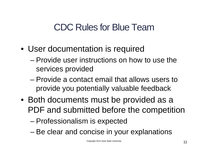- User documentation is required
	- Provide user instructions on how to use the services provided
	- Provide a contact email that allows users to provide you potentially valuable feedback
- Both documents must be provided as a PDF and submitted before the competition
	- Professionalism is expected
	- Be clear and concise in your explanations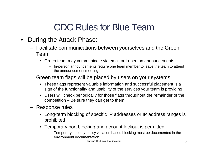- During the Attack Phase:
	- Facilitate communications between yourselves and the Green Team
		- Green team may communicate via email or in-person announcements
			- In-person announcements require one team member to leave the team to attend the announcement meeting
	- Green team flags will be placed by users on your systems
		- These flags represent valuable information and successful placement is a sign of the functionality and usability of the services your team is providing
		- Users will check periodically for those flags throughout the remainder of the competition – Be sure they can get to them
	- Response rules
		- Long-term blocking of specific IP addresses or IP address ranges is prohibited
		- Temporary port blocking and account lockout is permitted
			- Temporary security-policy violation based blocking must be documented in the environment documentation

Copyright 2013 Iowa State University **12**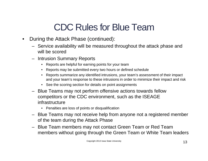- During the Attack Phase (continued):
	- Service availability will be measured throughout the attack phase and will be scored
	- Intrusion Summary Reports
		- Reports are helpful for earning points for your team
		- Reports may be submitted every two hours or defined schedule
		- Reports summarize any identified intrusions, your team's assessment of their impact and your team's response to these intrusions in order to minimize their impact and risk
		- See the scoring section for details on point assignments
	- Blue Teams may not perform offensive actions towards fellow competitors or the CDC environment, such as the ISEAGE infrastructure
		- Penalties are loss of points or disqualification
	- Blue Teams may not receive help from anyone not a registered member of the team during the Attack Phase
	- Blue Team members may not contact Green Team or Red Team members without going through the Green Team or White Team leaders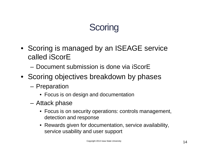# **Scoring**

- Scoring is managed by an ISEAGE service called iScorE
	- Document submission is done via iScorE
- Scoring objectives breakdown by phases
	- Preparation
		- Focus is on design and documentation
	- Attack phase
		- Focus is on security operations: controls management, detection and response
		- Rewards given for documentation, service availability, service usability and user support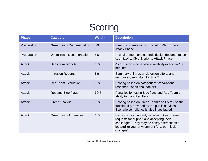## **Scoring**

| <b>Phase</b>  | <b>Category</b>                 | <b>Weight</b> | <b>Description</b>                                                                                                                                                                                     |
|---------------|---------------------------------|---------------|--------------------------------------------------------------------------------------------------------------------------------------------------------------------------------------------------------|
| Preparation   | <b>Green Team Documentation</b> | 5%            | User documentation submitted to iScorE prior to<br><b>Attack Phase</b>                                                                                                                                 |
| Preparation   | <b>White Team Documentation</b> | 5%            | IT environment and controls design documentation<br>submitted to iScorE prior to Attack Phase                                                                                                          |
| <b>Attack</b> | <b>Service Availability</b>     | 15%           | iScorE scans for service availability every $5 - 10$<br>minutes                                                                                                                                        |
| <b>Attack</b> | <b>Intrusion Reports</b>        | 5%            | Summary of intrusion detection efforts and<br>responses, submitted to iScorE                                                                                                                           |
| <b>Attack</b> | <b>Red Team Evaluation</b>      | 10%           | Scoring based on categories: preparations,<br>response, "additional" factors                                                                                                                           |
| Attack        | <b>Red and Blue Flags</b>       | 30%           | Penalties for losing Blue flags and Red Team's<br>ability to plant Red flags                                                                                                                           |
| <b>Attack</b> | <b>Green Usability</b>          | 15%           | Scoring based on Green Team's ability to use the<br>functionality provided by the public services.<br>Scenario compliance is also investigated                                                         |
| Attack        | <b>Green Team Anomalies</b>     | 15%           | Rewards for voluntarily servicing Green Team<br>requests for support and accepting their<br>challenges. They may be costly distractions or<br>jeopardize your environment (e.g. permission<br>changes) |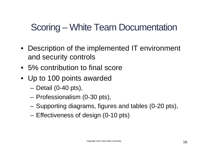## Scoring – White Team Documentation

- Description of the implemented IT environment and security controls
- 5% contribution to final score
- Up to 100 points awarded
	- Detail (0-40 pts),
	- Professionalism (0-30 pts),
	- Supporting diagrams, figures and tables (0-20 pts),
	- Effectiveness of design (0-10 pts)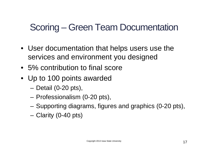## Scoring – Green Team Documentation

- User documentation that helps users use the services and environment you designed
- 5% contribution to final score
- Up to 100 points awarded
	- Detail (0-20 pts),
	- Professionalism (0-20 pts),
	- Supporting diagrams, figures and graphics (0-20 pts),
	- Clarity (0-40 pts)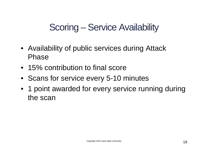## Scoring – Service Availability

- Availability of public services during Attack Phase
- 15% contribution to final score
- Scans for service every 5-10 minutes
- 1 point awarded for every service running during the scan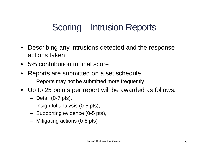## Scoring – Intrusion Reports

- Describing any intrusions detected and the response actions taken
- 5% contribution to final score
- Reports are submitted on a set schedule.
	- Reports may not be submitted more frequently
- Up to 25 points per report will be awarded as follows:
	- Detail (0-7 pts),
	- Insightful analysis (0-5 pts),
	- Supporting evidence (0-5 pts),
	- Mitigating actions (0-8 pts)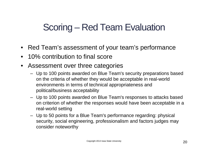## Scoring – Red Team Evaluation

- Red Team's assessment of your team's performance
- 10% contribution to final score
- Assessment over three categories
	- Up to 100 points awarded on Blue Team's security preparations based on the criteria of whether they would be acceptable in real-world environments in terms of technical appropriateness and political/business acceptability
	- Up to 100 points awarded on Blue Team's responses to attacks based on criterion of whether the responses would have been acceptable in a real-world setting
	- Up to 50 points for a Blue Team's performance regarding: physical security, social engineering, professionalism and factors judges may consider noteworthy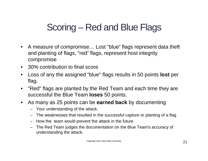## Scoring – Red and Blue Flags

- A measure of compromise... Lost "blue" flags represent data theft and planting of flags, "red" flags, represent host integrity compromise
- 30% contribution to final score
- Loss of any the assigned "blue" flags results in 50 points **lost** per flag.
- "Red" flags are planted by the Red Team and each time they are successful the Blue Team **loses** 50 points.
- As many as 25 points can be **earned back** by documenting
	- Your understanding of the attack,
	- The weaknesses that resulted in the successful capture or planting of a flag
	- How the team would prevent the attack in the future.
	- The Red Team judges the documentation on the Blue Team's accuracy of understanding the attack.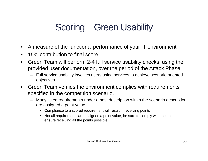## Scoring – Green Usability

- A measure of the functional performance of your IT environment
- 15% contribution to final score
- Green Team will perform 2-4 full service usability checks, using the provided user documentation, over the period of the Attack Phase.
	- Full service usability involves users using services to achieve scenario oriented objectives
- Green Team verifies the environment complies with requirements specified in the competition scenario.
	- Many listed requirements under a host description within the scenario description are assigned a point value
		- Compliance to a scored requirement will result in receiving points
		- Not all requirements are assigned a point value, be sure to comply with the scenario to ensure receiving all the points possible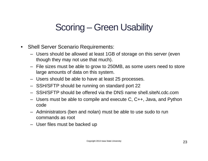## Scoring – Green Usability

- Shell Server Scenario Requirements:
	- Users should be allowed at least 1GB of storage on this server (even though they may not use that much).
	- File sizes must be able to grow to 250MB, as some users need to store large amounts of data on this system.
	- Users should be able to have at least 25 processes.
	- SSH/SFTP should be running on standard port 22
	- SSH/SFTP should be offered via the DNS name shell.siteN.cdc.com
	- Users must be able to compile and execute C, C++, Java, and Python code
	- Administrators (ben and nolan) must be able to use sudo to run commands as root
	- User files must be backed up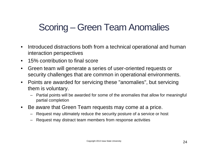## Scoring – Green Team Anomalies

- Introduced distractions both from a technical operational and human interaction perspectives
- 15% contribution to final score
- Green team will generate a series of user-oriented requests or security challenges that are common in operational environments.
- Points are awarded for servicing these "anomalies", but servicing them is voluntary.
	- Partial points will be awarded for some of the anomalies that allow for meaningful partial completion
- Be aware that Green Team requests may come at a price.
	- Request may ultimately reduce the security posture of a service or host
	- Request may distract team members from response activities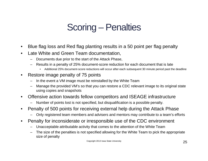## Scoring – Penalties

- Blue flag loss and Red flag planting results in a 50 point per flag penalty
- Late White and Green Team documentation,
	- Documents due prior to the start of the Attack Phase,
	- Results in a penalty of 25% document-score reduction for each document that is late
		- Additional 25% document-score reductions will occur after each subsequent 30 minute period past the deadline
- Restore image penalty of 75 points
	- In the event a VM image must be reinstalled by the White Team
	- Manage the provided VM's so that you can restore a CDC relevant image to its original state using copies and snapshots
- Offensive action towards fellow competitors and ISEAGE infrastructure
	- Number of points lost is not specified, but disqualification is a possible penalty.
- Penalty of 500 points for receiving external help during the Attack Phase
	- Only registered team members and advisers and mentors may contribute to a team's efforts
- Penalty for inconsiderate or irresponsible use of the CDC environment
	- Unacceptable attributable activity that comes to the attention of the White Team
	- The size of the penalties is not specified allowing for the White Team to pick the appropriate size of penalty